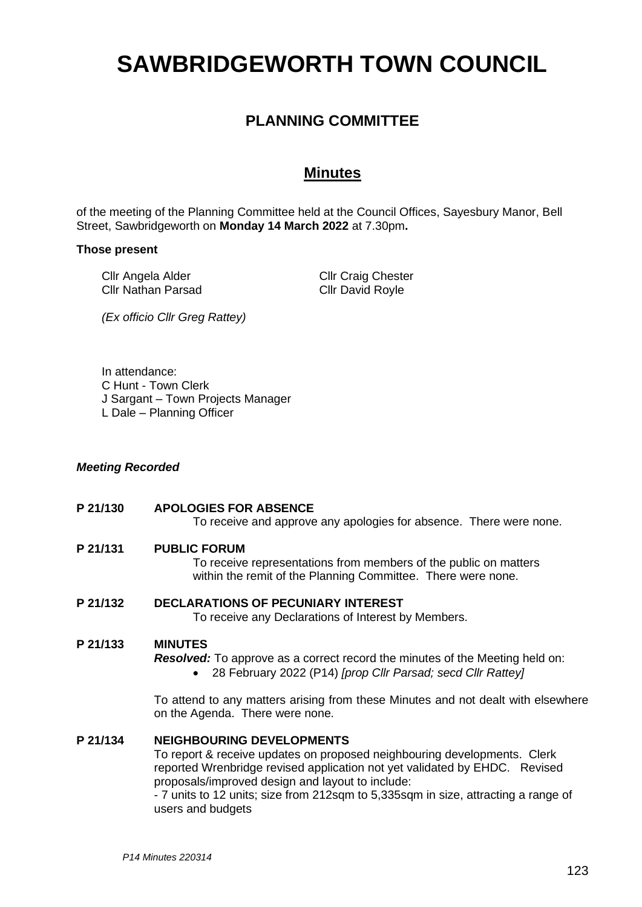# **SAWBRIDGEWORTH TOWN COUNCIL**

# **PLANNING COMMITTEE**

## **Minutes**

of the meeting of the Planning Committee held at the Council Offices, Sayesbury Manor, Bell Street, Sawbridgeworth on **Monday 14 March 2022** at 7.30pm**.**

#### **Those present**

Cllr Angela Alder Cllr Nathan Parsad Cllr Craig Chester Cllr David Royle

*(Ex officio Cllr Greg Rattey)*

In attendance:

- C Hunt Town Clerk
- J Sargant Town Projects Manager
- L Dale Planning Officer

#### *Meeting Recorded*

**P 21/130 APOLOGIES FOR ABSENCE**

To receive and approve any apologies for absence. There were none.

**P 21/131 PUBLIC FORUM**

To receive representations from members of the public on matters within the remit of the Planning Committee. There were none.

#### **P 21/132 DECLARATIONS OF PECUNIARY INTEREST**

To receive any Declarations of Interest by Members.

#### **P 21/133 MINUTES**

*Resolved:* To approve as a correct record the minutes of the Meeting held on:

• 28 February 2022 (P14) *[prop Cllr Parsad; secd Cllr Rattey]*

To attend to any matters arising from these Minutes and not dealt with elsewhere on the Agenda. There were none.

### **P 21/134 NEIGHBOURING DEVELOPMENTS**

To report & receive updates on proposed neighbouring developments. Clerk reported Wrenbridge revised application not yet validated by EHDC. Revised proposals/improved design and layout to include:

- 7 units to 12 units; size from 212sqm to 5,335sqm in size, attracting a range of users and budgets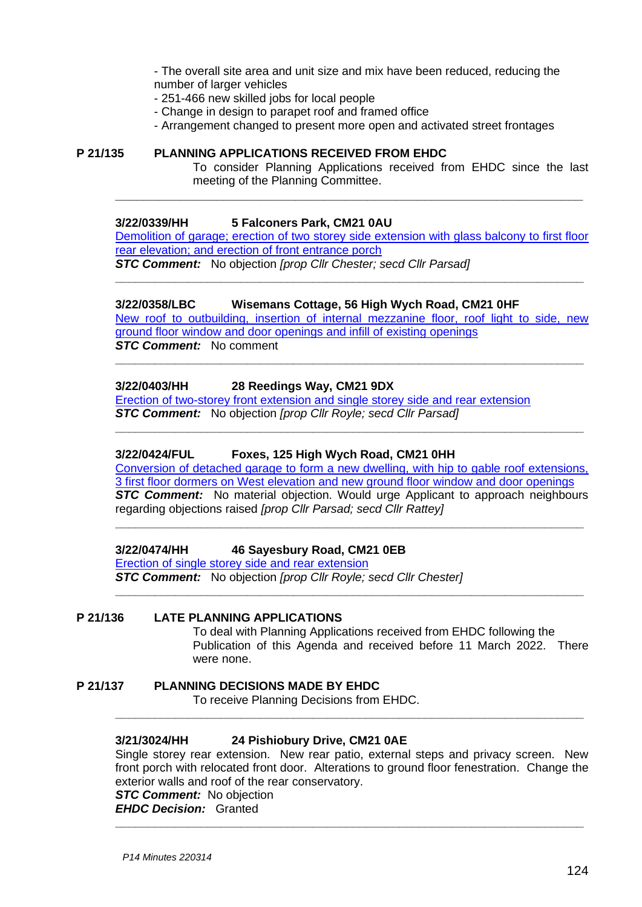- The overall site area and unit size and mix have been reduced, reducing the number of larger vehicles

- 251-466 new skilled jobs for local people
- Change in design to parapet roof and framed office
- Arrangement changed to present more open and activated street frontages

#### **P 21/135 PLANNING APPLICATIONS RECEIVED FROM EHDC**

To consider Planning Applications received from EHDC since the last meeting of the Planning Committee.

#### **3/22/0339/HH 5 Falconers Park, CM21 0AU**

[Demolition of garage; erection of two storey side extension with glass balcony to first floor](https://publicaccess.eastherts.gov.uk/online-applications/applicationDetails.do?activeTab=documents&keyVal=R7C6DCGLJHD00)  rear elevation; and [erection of front entrance porch](https://publicaccess.eastherts.gov.uk/online-applications/applicationDetails.do?activeTab=documents&keyVal=R7C6DCGLJHD00)

**\_\_\_\_\_\_\_\_\_\_\_\_\_\_\_\_\_\_\_\_\_\_\_\_\_\_\_\_\_\_\_\_\_\_\_\_\_\_\_\_\_\_\_\_\_\_\_\_\_\_\_\_\_\_\_\_\_\_\_\_\_\_\_\_\_**

*STC Comment:* No objection *[prop Cllr Chester; secd Cllr Parsad]* **\_\_\_\_\_\_\_\_\_\_\_\_\_\_\_\_\_\_\_\_\_\_\_\_\_\_\_\_\_\_\_\_\_\_\_\_\_\_\_\_\_\_\_\_\_\_\_\_\_\_\_\_\_\_\_\_\_\_\_\_\_\_\_\_\_\_\_\_\_\_\_**

#### **3/22/0358/LBC Wisemans Cottage, 56 High Wych Road, CM21 0HF**  New [roof to outbuilding, insertion of internal mezzanine floor, roof light to side, new](https://publicaccess.eastherts.gov.uk/online-applications/applicationDetails.do?activeTab=documents&keyVal=R7C6DCGLJHD00)  [ground floor window and door openings and infill of existing openings](https://publicaccess.eastherts.gov.uk/online-applications/applicationDetails.do?activeTab=documents&keyVal=R7C6DCGLJHD00) *STC Comment:* No comment

**\_\_\_\_\_\_\_\_\_\_\_\_\_\_\_\_\_\_\_\_\_\_\_\_\_\_\_\_\_\_\_\_\_\_\_\_\_\_\_\_\_\_\_\_\_\_\_\_\_\_\_\_\_\_\_\_\_\_\_\_\_\_\_\_\_\_\_\_\_\_\_**

**\_\_\_\_\_\_\_\_\_\_\_\_\_\_\_\_\_\_\_\_\_\_\_\_\_\_\_\_\_\_\_\_\_\_\_\_\_\_\_\_\_\_\_\_\_\_\_\_\_\_\_\_\_\_\_\_\_\_\_\_\_\_\_\_\_\_\_\_\_\_\_**

#### **3/22/0403/HH 28 Reedings Way, CM21 9DX**

[Erection of two-storey front extension and single storey side and rear extension](https://publicaccess.eastherts.gov.uk/online-applications/applicationDetails.do?activeTab=documents&keyVal=R7QZLJGLJMN00) *STC Comment:* No objection *[prop Cllr Royle; secd Cllr Parsad]*

#### **3/22/0424/FUL Foxes, 125 High Wych Road, CM21 0HH**

[Conversion of detached garage to form a new dwelling, with hip to gable roof extensions,](https://publicaccess.eastherts.gov.uk/online-applications/applicationDetails.do?activeTab=documents&keyVal=R7T9V1GLJNU00)  [3 first floor dormers on West elevation and new ground floor window and door openings](https://publicaccess.eastherts.gov.uk/online-applications/applicationDetails.do?activeTab=documents&keyVal=R7T9V1GLJNU00) *STC Comment:* No material objection. Would urge Applicant to approach neighbours regarding objections raised *[prop Cllr Parsad; secd Cllr Rattey]*

**\_\_\_\_\_\_\_\_\_\_\_\_\_\_\_\_\_\_\_\_\_\_\_\_\_\_\_\_\_\_\_\_\_\_\_\_\_\_\_\_\_\_\_\_\_\_\_\_\_\_\_\_\_\_\_\_\_\_\_\_\_\_\_\_\_\_\_\_\_\_\_**

**\_\_\_\_\_\_\_\_\_\_\_\_\_\_\_\_\_\_\_\_\_\_\_\_\_\_\_\_\_\_\_\_\_\_\_\_\_\_\_\_\_\_\_\_\_\_\_\_\_\_\_\_\_\_\_\_\_\_\_\_\_\_\_\_\_\_\_\_\_\_\_**

**3/22/0474/HH 46 Sayesbury Road, CM21 0EB**

[Erection of single storey side and rear extension](https://publicaccess.eastherts.gov.uk/online-applications/applicationDetails.do?activeTab=documents&keyVal=R86474GLJRK00)

*STC Comment:* No objection *[prop Cllr Royle; secd Cllr Chester]*

#### **P 21/136 LATE PLANNING APPLICATIONS**

To deal with Planning Applications received from EHDC following the Publication of this Agenda and received before 11 March 2022. There were none.

**P 21/137 PLANNING DECISIONS MADE BY EHDC**

To receive Planning Decisions from EHDC.

#### **3/21/3024/HH 24 Pishiobury Drive, CM21 0AE**

Single storey rear extension. New rear patio, external steps and privacy screen. New front porch with relocated front door. Alterations to ground floor fenestration. Change the exterior walls and roof of the rear conservatory. *STC Comment:* No objection

**\_\_\_\_\_\_\_\_\_\_\_\_\_\_\_\_\_\_\_\_\_\_\_\_\_\_\_\_\_\_\_\_\_\_\_\_\_\_\_\_\_\_\_\_\_\_\_\_\_\_\_\_\_\_\_\_\_\_\_\_\_\_\_\_\_\_\_\_\_\_\_**

*EHDC Decision:* Granted **\_\_\_\_\_\_\_\_\_\_\_\_\_\_\_\_\_\_\_\_\_\_\_\_\_\_\_\_\_\_\_\_\_\_\_\_\_\_\_\_\_\_\_\_\_\_\_\_\_\_\_\_\_\_\_\_\_\_\_\_\_\_\_\_\_\_\_\_\_\_\_**